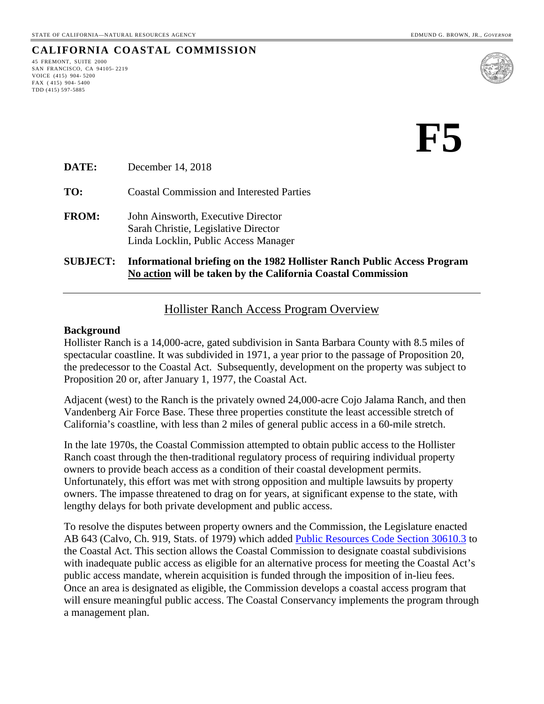# **CALIFORNIA COASTAL COMMISSION**

45 FREMONT, SUITE 2000 SAN FRANCISCO, CA 94105- 2219 VOICE (415) 904- 5200 FAX ( 415) 904- 5400 TDD (415) 597-5885



**DATE:** December 14, 2018

**TO:** Coastal Commission and Interested Parties

**FROM:** John Ainsworth, Executive Director Sarah Christie, Legislative Director Linda Locklin, Public Access Manager

**SUBJECT: Informational briefing on the 1982 Hollister Ranch Public Access Program No action will be taken by the California Coastal Commission**

#### Hollister Ranch Access Program Overview

#### **Background**

Hollister Ranch is a 14,000-acre, gated subdivision in Santa Barbara County with 8.5 miles of spectacular coastline. It was subdivided in 1971, a year prior to the passage of Proposition 20, the predecessor to the Coastal Act. Subsequently, development on the property was subject to Proposition 20 or, after January 1, 1977, the Coastal Act.

Adjacent (west) to the Ranch is the privately owned 24,000-acre Cojo Jalama Ranch, and then Vandenberg Air Force Base. These three properties constitute the least accessible stretch of California's coastline, with less than 2 miles of general public access in a 60-mile stretch.

In the late 1970s, the Coastal Commission attempted to obtain public access to the Hollister Ranch coast through the then-traditional regulatory process of requiring individual property owners to provide beach access as a condition of their coastal development permits. Unfortunately, this effort was met with strong opposition and multiple lawsuits by property owners. The impasse threatened to drag on for years, at significant expense to the state, with lengthy delays for both private development and public access.

To resolve the disputes between property owners and the Commission, the Legislature enacted AB 643 (Calvo, Ch. 919, Stats. of 1979) which added [Public Resources Code Section 30610.3](https://leginfo.legislature.ca.gov/faces/codes_displaySection.xhtml?lawCode=PRC§ionNum=30610.3.) to the Coastal Act. This section allows the Coastal Commission to designate coastal subdivisions with inadequate public access as eligible for an alternative process for meeting the Coastal Act's public access mandate, wherein acquisition is funded through the imposition of in-lieu fees. Once an area is designated as eligible, the Commission develops a coastal access program that will ensure meaningful public access. The Coastal Conservancy implements the program through a management plan.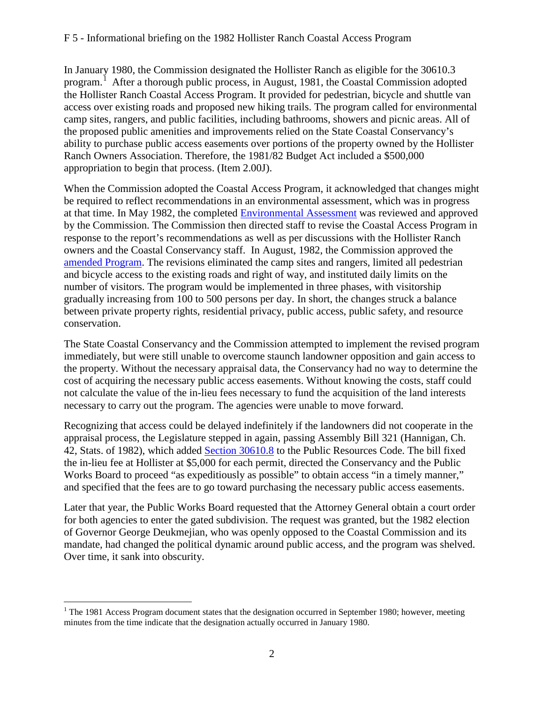In January 1980, the Commission designated the Hollister Ranch as eligible for the 30610.3 program.<sup>[1](#page-1-0)</sup> After a thorough public process, in August, 1981, the Coastal Commission adopted the Hollister Ranch Coastal Access Program. It provided for pedestrian, bicycle and shuttle van access over existing roads and proposed new hiking trails. The program called for environmental camp sites, rangers, and public facilities, including bathrooms, showers and picnic areas. All of the proposed public amenities and improvements relied on the State Coastal Conservancy's ability to purchase public access easements over portions of the property owned by the Hollister Ranch Owners Association. Therefore, the 1981/82 Budget Act included a \$500,000 appropriation to begin that process. (Item 2.00J).

When the Commission adopted the Coastal Access Program, it acknowledged that changes might be required to reflect recommendations in an environmental assessment, which was in progress at that time. In May 1982, the completed [Environmental Assessment](https://documents.coastal.ca.gov/assets/hollister-ranch/Hollister%20Ranch%20Environmental%20Assessment%20(3.3.82).pdf) was reviewed and approved by the Commission. The Commission then directed staff to revise the Coastal Access Program in response to the report's recommendations as well as per discussions with the Hollister Ranch owners and the Coastal Conservancy staff. In August, 1982, the Commission approved the [amended Program.](https://documents.coastal.ca.gov/assets/hollister-ranch/1982%20Hollister%20Ranch%20Plan%20Revised%20Findings.pdf) The revisions eliminated the camp sites and rangers, limited all pedestrian and bicycle access to the existing roads and right of way, and instituted daily limits on the number of visitors. The program would be implemented in three phases, with visitorship gradually increasing from 100 to 500 persons per day. In short, the changes struck a balance between private property rights, residential privacy, public access, public safety, and resource conservation.

The State Coastal Conservancy and the Commission attempted to implement the revised program immediately, but were still unable to overcome staunch landowner opposition and gain access to the property. Without the necessary appraisal data, the Conservancy had no way to determine the cost of acquiring the necessary public access easements. Without knowing the costs, staff could not calculate the value of the in-lieu fees necessary to fund the acquisition of the land interests necessary to carry out the program. The agencies were unable to move forward.

Recognizing that access could be delayed indefinitely if the landowners did not cooperate in the appraisal process, the Legislature stepped in again, passing Assembly Bill 321 (Hannigan, Ch. 42, Stats. of 1982), which added [Section 30610.8](https://leginfo.legislature.ca.gov/faces/codes_displaySection.xhtml?lawCode=PRC§ionNum=30610.8.) to the Public Resources Code. The bill fixed the in-lieu fee at Hollister at \$5,000 for each permit, directed the Conservancy and the Public Works Board to proceed "as expeditiously as possible" to obtain access "in a timely manner," and specified that the fees are to go toward purchasing the necessary public access easements.

Later that year, the Public Works Board requested that the Attorney General obtain a court order for both agencies to enter the gated subdivision. The request was granted, but the 1982 election of Governor George Deukmejian, who was openly opposed to the Coastal Commission and its mandate, had changed the political dynamic around public access, and the program was shelved. Over time, it sank into obscurity.

 $\overline{a}$ 

<span id="page-1-0"></span><sup>&</sup>lt;sup>1</sup> The 1981 Access Program document states that the designation occurred in September 1980; however, meeting minutes from the time indicate that the designation actually occurred in January 1980.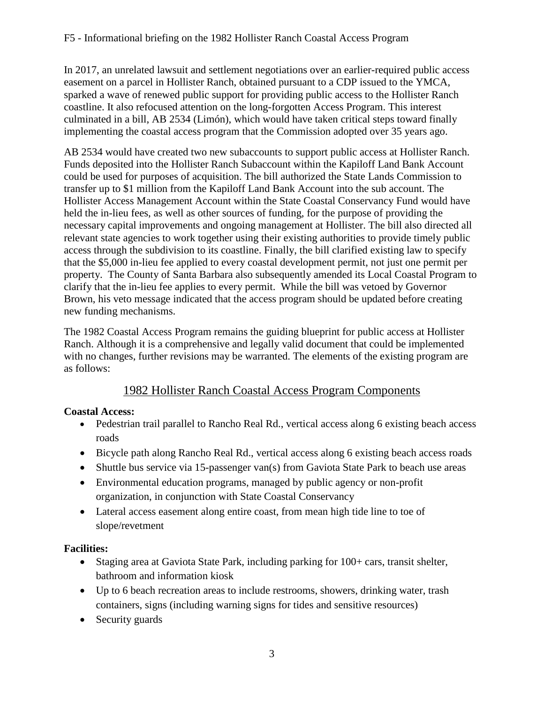In 2017, an unrelated lawsuit and settlement negotiations over an earlier-required public access easement on a parcel in Hollister Ranch, obtained pursuant to a CDP issued to the YMCA, sparked a wave of renewed public support for providing public access to the Hollister Ranch coastline. It also refocused attention on the long-forgotten Access Program. This interest culminated in a bill, AB 2534 (Limón), which would have taken critical steps toward finally implementing the coastal access program that the Commission adopted over 35 years ago.

AB 2534 would have created two new subaccounts to support public access at Hollister Ranch. Funds deposited into the Hollister Ranch Subaccount within the Kapiloff Land Bank Account could be used for purposes of acquisition. The bill authorized the State Lands Commission to transfer up to \$1 million from the Kapiloff Land Bank Account into the sub account. The Hollister Access Management Account within the State Coastal Conservancy Fund would have held the in-lieu fees, as well as other sources of funding, for the purpose of providing the necessary capital improvements and ongoing management at Hollister. The bill also directed all relevant state agencies to work together using their existing authorities to provide timely public access through the subdivision to its coastline. Finally, the bill clarified existing law to specify that the \$5,000 in-lieu fee applied to every coastal development permit, not just one permit per property. The County of Santa Barbara also subsequently amended its Local Coastal Program to clarify that the in-lieu fee applies to every permit. While the bill was vetoed by Governor Brown, his veto message indicated that the access program should be updated before creating new funding mechanisms.

The 1982 Coastal Access Program remains the guiding blueprint for public access at Hollister Ranch. Although it is a comprehensive and legally valid document that could be implemented with no changes, further revisions may be warranted. The elements of the existing program are as follows:

# 1982 Hollister Ranch Coastal Access Program Components

## **Coastal Access:**

- Pedestrian trail parallel to Rancho Real Rd., vertical access along 6 existing beach access roads
- Bicycle path along Rancho Real Rd., vertical access along 6 existing beach access roads
- Shuttle bus service via 15-passenger van(s) from Gaviota State Park to beach use areas
- Environmental education programs, managed by public agency or non-profit organization, in conjunction with State Coastal Conservancy
- Lateral access easement along entire coast, from mean high tide line to toe of slope/revetment

## **Facilities:**

- Staging area at Gaviota State Park, including parking for 100+ cars, transit shelter, bathroom and information kiosk
- Up to 6 beach recreation areas to include restrooms, showers, drinking water, trash containers, signs (including warning signs for tides and sensitive resources)
- Security guards